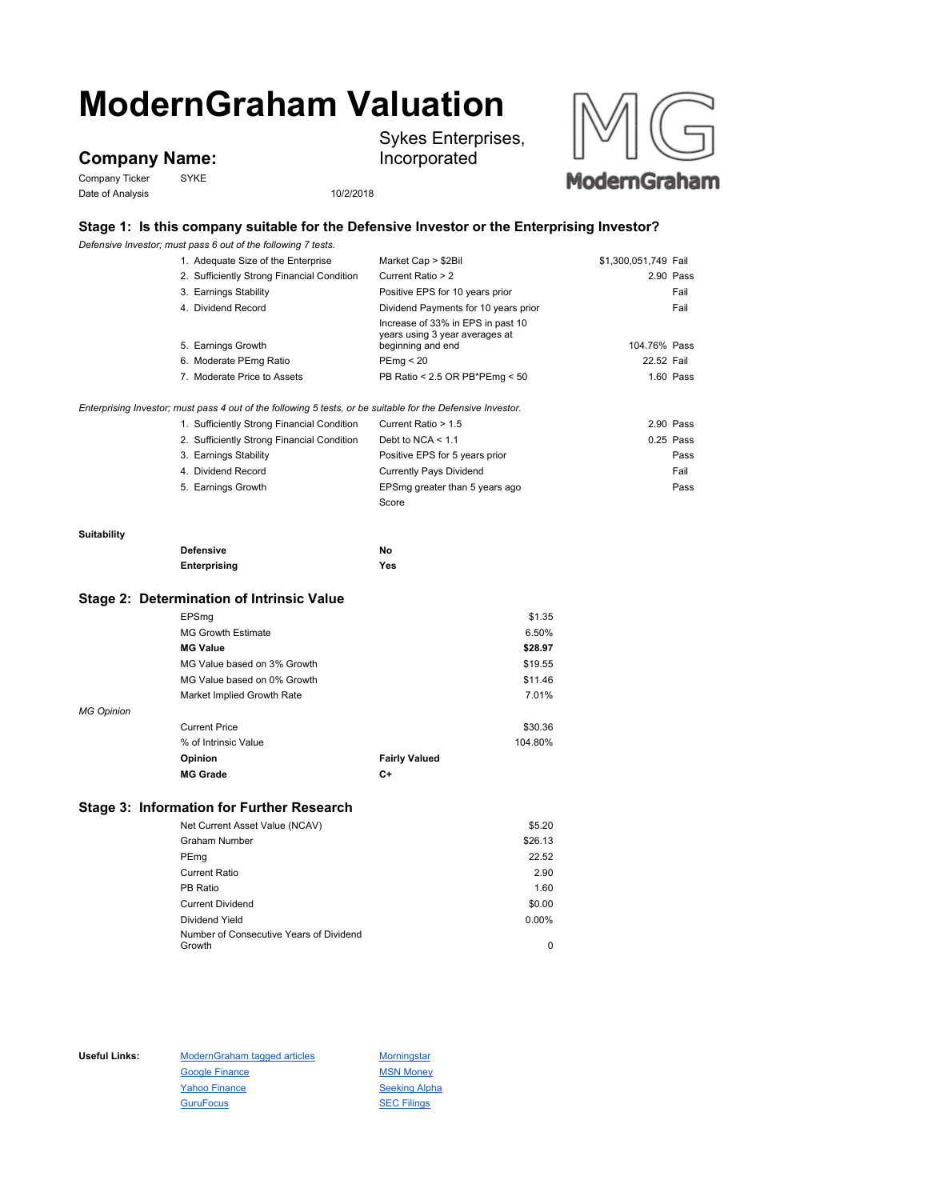# **ModernGraham Valuation**

## **Company Name:**

Company Ticker SYKE Date of Analysis 10/2/2018

Sykes Enterprises, Incorporated



## **Stage 1: Is this company suitable for the Defensive Investor or the Enterprising Investor?**

*Defensive Investor; must pass 6 out of the following 7 tests.*

|                    | Defensive Investor; must pass 6 out of the following 7 tests.                                               |                                                     |                      |
|--------------------|-------------------------------------------------------------------------------------------------------------|-----------------------------------------------------|----------------------|
|                    | 1. Adequate Size of the Enterprise                                                                          | Market Cap > \$2Bil                                 | \$1,300,051,749 Fail |
|                    | 2. Sufficiently Strong Financial Condition                                                                  | Current Ratio > 2                                   | 2.90 Pass            |
|                    | 3. Earnings Stability                                                                                       | Positive EPS for 10 years prior                     | Fail                 |
|                    | 4. Dividend Record                                                                                          | Dividend Payments for 10 years prior                | Fail                 |
|                    |                                                                                                             | Increase of 33% in EPS in past 10                   |                      |
|                    | 5. Earnings Growth                                                                                          | years using 3 year averages at<br>beginning and end | 104.76% Pass         |
|                    | 6. Moderate PEmg Ratio                                                                                      | PEmg < 20                                           | 22.52 Fail           |
|                    | 7. Moderate Price to Assets                                                                                 | PB Ratio < 2.5 OR PB*PEmg < 50                      | $1.60$ Pass          |
|                    | Enterprising Investor; must pass 4 out of the following 5 tests, or be suitable for the Defensive Investor. |                                                     |                      |
|                    | 1. Sufficiently Strong Financial Condition                                                                  | Current Ratio > 1.5                                 | 2.90 Pass            |
|                    | 2. Sufficiently Strong Financial Condition                                                                  | Debt to NCA $<$ 1.1                                 | $0.25$ Pass          |
|                    | 3. Earnings Stability                                                                                       | Positive EPS for 5 years prior                      | Pass                 |
|                    | 4. Dividend Record                                                                                          | <b>Currently Pays Dividend</b>                      | Fail                 |
|                    | 5. Earnings Growth                                                                                          | EPSmg greater than 5 years ago                      | Pass                 |
|                    |                                                                                                             | Score                                               |                      |
|                    |                                                                                                             |                                                     |                      |
| <b>Suitability</b> |                                                                                                             |                                                     |                      |
|                    | <b>Defensive</b>                                                                                            | No                                                  |                      |
|                    | Enterprising                                                                                                | Yes                                                 |                      |
|                    | Stage 2: Determination of Intrinsic Value                                                                   |                                                     |                      |
|                    | EPSmg                                                                                                       | \$1.35                                              |                      |
|                    | <b>MG Growth Estimate</b>                                                                                   | 6.50%                                               |                      |
|                    | <b>MG Value</b>                                                                                             | \$28.97                                             |                      |
|                    | MG Value based on 3% Growth                                                                                 | \$19.55                                             |                      |
|                    | MG Value based on 0% Growth                                                                                 | \$11.46                                             |                      |
|                    | Market Implied Growth Rate                                                                                  | 7.01%                                               |                      |
| <b>MG Opinion</b>  |                                                                                                             |                                                     |                      |
|                    | <b>Current Price</b>                                                                                        | \$30.36                                             |                      |
|                    | % of Intrinsic Value                                                                                        | 104.80%                                             |                      |
|                    | Opinion                                                                                                     | <b>Fairly Valued</b>                                |                      |
|                    | <b>MG Grade</b>                                                                                             | $C+$                                                |                      |
|                    |                                                                                                             |                                                     |                      |

### **Stage 3: Information for Further Research**

| Net Current Asset Value (NCAV)          | \$5.20  |
|-----------------------------------------|---------|
| <b>Graham Number</b>                    | \$26.13 |
| PEmg                                    | 22.52   |
| Current Ratio                           | 2.90    |
| PB Ratio                                | 1.60    |
| <b>Current Dividend</b>                 | \$0.00  |
| Dividend Yield                          | 0.00%   |
| Number of Consecutive Years of Dividend |         |
| Growth                                  | 0       |

Useful Links: ModernGraham tagged articles Morningstar Google Finance MSN Money Yahoo Finance Seeking Alpha GuruFocus **SEC Filings**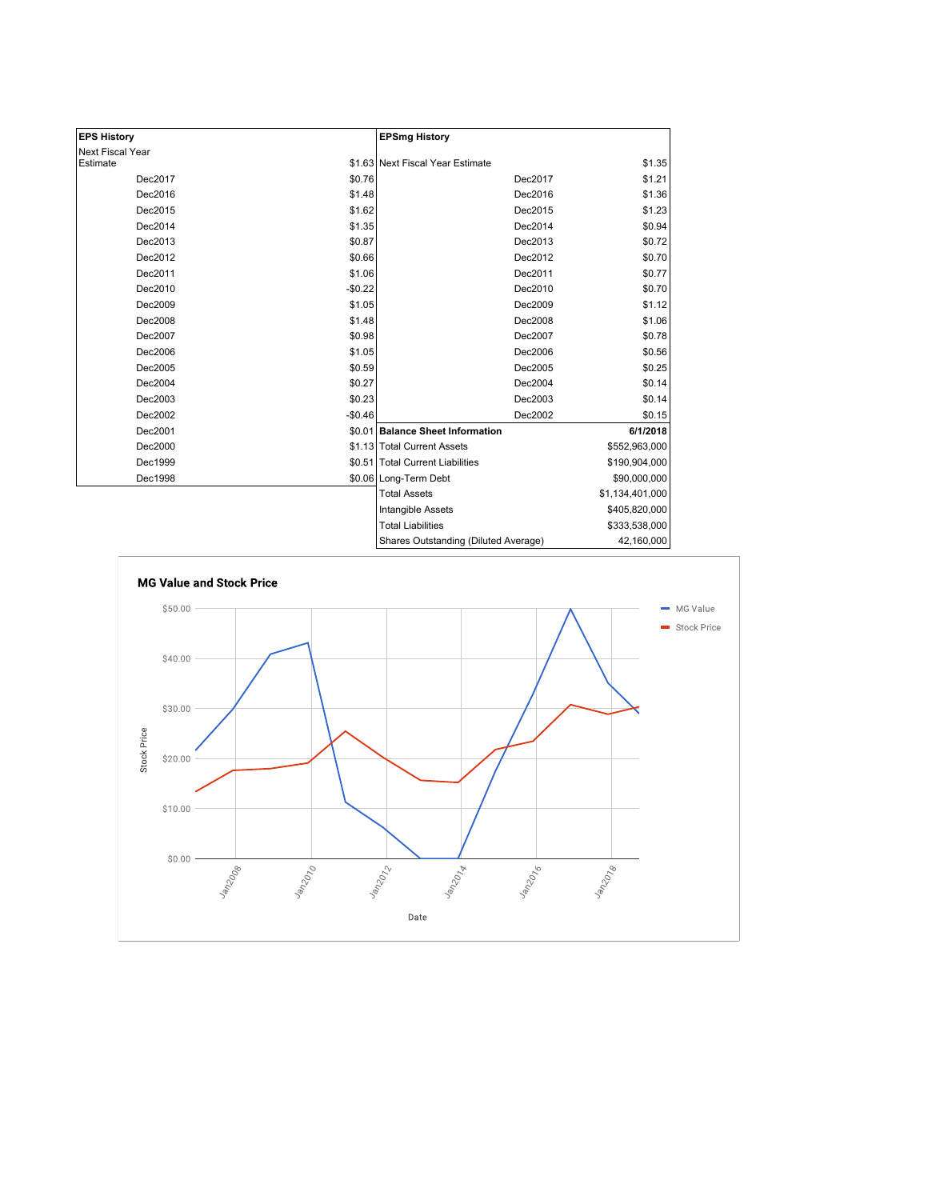| <b>EPS History</b> |          | <b>EPSmg History</b>                 |                 |
|--------------------|----------|--------------------------------------|-----------------|
| Next Fiscal Year   |          |                                      |                 |
| Estimate           |          | \$1.63 Next Fiscal Year Estimate     | \$1.35          |
| Dec2017            | \$0.76   | Dec2017                              | \$1.21          |
| Dec2016            | \$1.48   | Dec2016                              | \$1.36          |
| Dec2015            | \$1.62   | Dec2015                              | \$1.23          |
| Dec2014            | \$1.35   | Dec2014                              | \$0.94          |
| Dec2013            | \$0.87   | Dec2013                              | \$0.72          |
| Dec2012            | \$0.66   | Dec2012                              | \$0.70          |
| Dec2011            | \$1.06   | Dec2011                              | \$0.77          |
| Dec2010            | $-$0.22$ | Dec2010                              | \$0.70          |
| Dec2009            | \$1.05   | Dec2009                              | \$1.12          |
| Dec2008            | \$1.48   | Dec2008                              | \$1.06          |
| Dec2007            | \$0.98   | Dec2007                              | \$0.78          |
| Dec2006            | \$1.05   | Dec2006                              | \$0.56          |
| Dec2005            | \$0.59   | Dec2005                              | \$0.25          |
| Dec2004            | \$0.27   | Dec2004                              | \$0.14          |
| Dec2003            | \$0.23   | Dec2003                              | \$0.14          |
| Dec2002            | $-$0.46$ | Dec2002                              | \$0.15          |
| Dec2001            |          | \$0.01 Balance Sheet Information     | 6/1/2018        |
| Dec2000            |          | \$1.13 Total Current Assets          | \$552,963,000   |
| Dec1999            |          | \$0.51 Total Current Liabilities     | \$190,904,000   |
| Dec1998            |          | \$0.06 Long-Term Debt                | \$90,000,000    |
|                    |          | <b>Total Assets</b>                  | \$1,134,401,000 |
|                    |          | Intangible Assets                    | \$405,820,000   |
|                    |          | <b>Total Liabilities</b>             | \$333,538,000   |
|                    |          | Shares Outstanding (Diluted Average) | 42,160,000      |